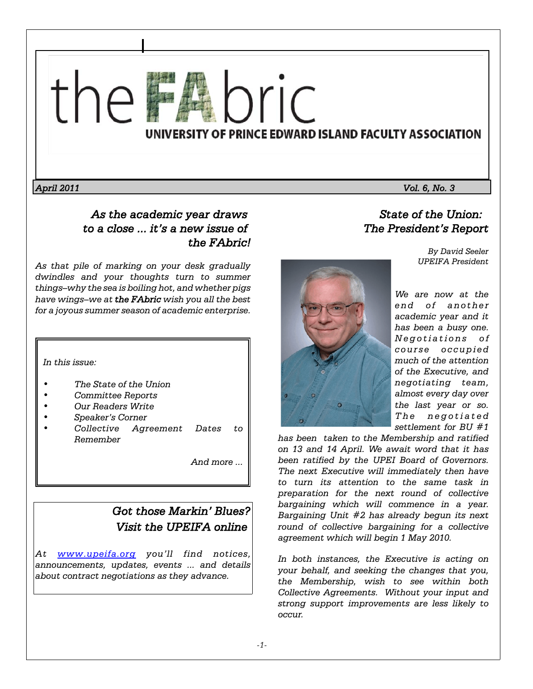

*April 2011 Vol. 6, No. 3*

# *As the academic year draws to a close ... it's a new issue of the FAbric!*

*As that pile of marking on your desk gradually dwindles and your thoughts turn to summer things–why the sea is boiling hot, and whether pigs have wings–we at the FAbric wish you all the best for a joyous summer season of academic enterprise.*

*In this issue:* 

- *The State of the Union*
- *Committee Reports*
- *Our Readers Write*
- *Speaker's Corner*
- *Collective Agreement Dates to Remember*

*And more ...*

# *Got those Markin' Blues? Visit the UPEIFA online*

*At www.upeifa.org you'll find notices, announcements, updates, events ... and details about contract negotiations as they advance.*



*State of the Union: The President's Report*

> *By David Seeler UPEIFA President*

*We are now at the end of another academic year and it has been a busy one. Negotiations of course occupied much of the attention of the Executive, and negotiating team, almost every day over the last year or so. The negotiated settlement for BU #1*

*has been taken to the Membership and ratified on 13 and 14 April. We await word that it has been ratified by the UPEI Board of Governors. The next Executive will immediately then have to turn its attention to the same task in preparation for the next round of collective bargaining which will commence in a year. Bargaining Unit #2 has already begun its next round of collective bargaining for a collective agreement which will begin 1 May 2010.* 

*In both instances, the Executive is acting on your behalf, and seeking the changes that you, the Membership, wish to see within both Collective Agreements. Without your input and strong support improvements are less likely to occur.*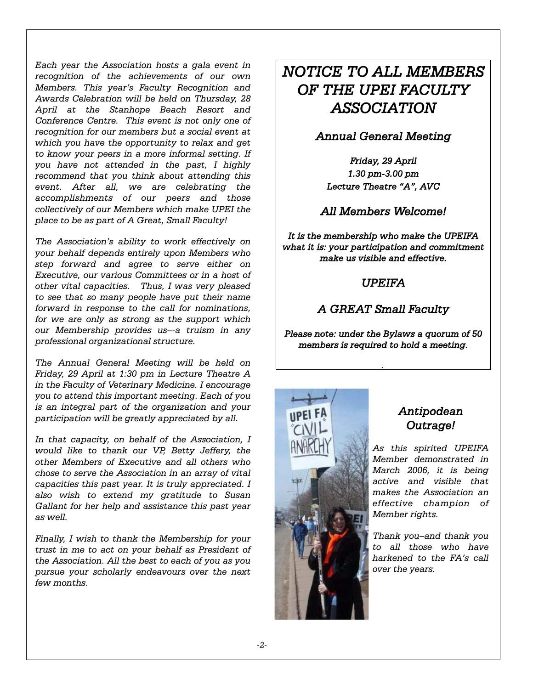*Each year the Association hosts a gala event in recognition of the achievements of our own Members. This year's Faculty Recognition and Awards Celebration will be held on Thursday, 28 April at the Stanhope Beach Resort and Conference Centre. This event is not only one of recognition for our members but a social event at which you have the opportunity to relax and get to know your peers in a more informal setting. If you have not attended in the past, I highly recommend that you think about attending this event. After all, we are celebrating the accomplishments of our peers and those collectively of our Members which make UPEI the place to be as part of A Great, Small Faculty!*

*The Association's ability to work effectively on your behalf depends entirely upon Members who step forward and agree to serve either on Executive, our various Committees or in a host of other vital capacities. Thus, I was very pleased to see that so many people have put their name forward in response to the call for nominations, for we are only as strong as the support which our Membership provides us–-a truism in any professional organizational structure.*

*The Annual General Meeting will be held on Friday, 29 April at 1:30 pm in Lecture Theatre A in the Faculty of Veterinary Medicine. I encourage you to attend this important meeting. Each of you is an integral part of the organization and your participation will be greatly appreciated by all.*

*In that capacity, on behalf of the Association, I would like to thank our VP, Betty Jeffery, the other Members of Executive and all others who chose to serve the Association in an array of vital capacities this past year. It is truly appreciated. I also wish to extend my gratitude to Susan Gallant for her help and assistance this past year as well.*

*Finally, I wish to thank the Membership for your trust in me to act on your behalf as President of the Association. All the best to each of you as you pursue your scholarly endeavours over the next few months.*

# *NOTICE TO ALL MEMBERS OF THE UPEI FACULTY ASSOCIATION*

### *Annual General Meeting*

*Friday, 29 April 1.30 pm-3.00 pm Lecture Theatre "A", AVC*

### *All Members Welcome!*

*It is the membership who make the UPEIFA what it is: your participation and commitment make us visible and effective.*

### *UPEIFA*

# *A GREAT Small Faculty*

*Please note: under the Bylaws a quorum of 50 members is required to hold a meeting.*

*.* 



# *Antipodean Outrage!*

*As this spirited UPEIFA Member demonstrated in March 2006, it is being active and visible that makes the Association an effective champion of Member rights.*

*Thank you–and thank you to all those who have harkened to the FA's call over the years.*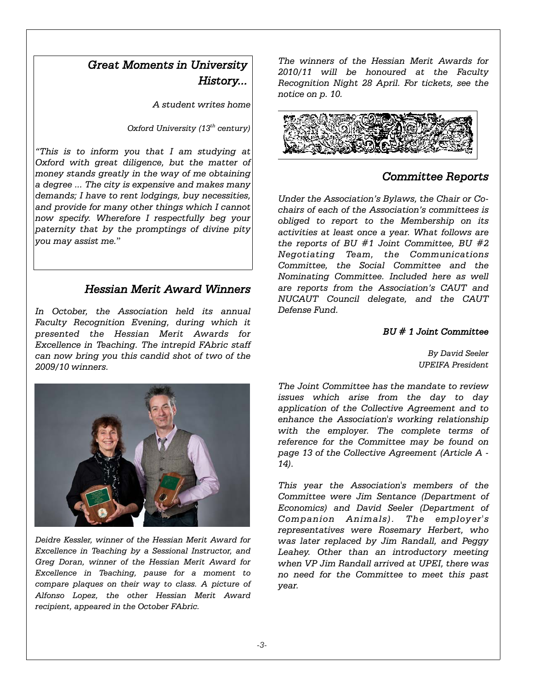# *Great Moments in University History...*

*A student writes home*

*Oxford University (13th century)*

*"This is to inform you that I am studying at Oxford with great diligence, but the matter of money stands greatly in the way of me obtaining a degree ... The city is expensive and makes many demands; I have to rent lodgings, buy necessities, and provide for many other things which I cannot now specify. Wherefore I respectfully beg your paternity that by the promptings of divine pity you may assist me.*"

### *Hessian Merit Award Winners*

*In October, the Association held its annual Faculty Recognition Evening, during which it presented the Hessian Merit Awards for Excellence in Teaching. The intrepid FAbric staff can now bring you this candid shot of two of the 2009/10 winners.*



*Deidre Kessler, winner of the Hessian Merit Award for Excellence in Teaching by a Sessional Instructor, and Greg Doran, winner of the Hessian Merit Award for Excellence in Teaching, pause for a moment to compare plaques on their way to class. A picture of Alfonso Lopez, the other Hessian Merit Award recipient, appeared in the October FAbric.*

*The winners of the Hessian Merit Awards for 2010/11 will be honoured at the Faculty Recognition Night 28 April. For tickets, see the notice on p. 10.*



### *Committee Reports*

*Under the Association's Bylaws, the Chair or Cochairs of each of the Association's committees is obliged to report to the Membership on its activities at least once a year. What follows are the reports of BU #1 Joint Committee, BU #2 Negotiating Team, the Communications Committee, the Social Committee and the Nominating Committee. Included here as well are reports from the Association's CAUT and NUCAUT Council delegate, and the CAUT Defense Fund.*

#### *BU # 1 Joint Committee*

*By David Seeler UPEIFA President*

*The Joint Committee has the mandate to review issues which arise from the day to day application of the Collective Agreement and to enhance the Association's working relationship with the employer. The complete terms of reference for the Committee may be found on page 13 of the Collective Agreement (Article A - 14).*

*This year the Association's members of the Committee were Jim Sentance (Department of Economics) and David Seeler (Department of Companion Animals). The employer's representatives were Rosemary Herbert, who was later replaced by Jim Randall, and Peggy Leahey. Other than an introductory meeting when VP Jim Randall arrived at UPEI, there was no need for the Committee to meet this past year.*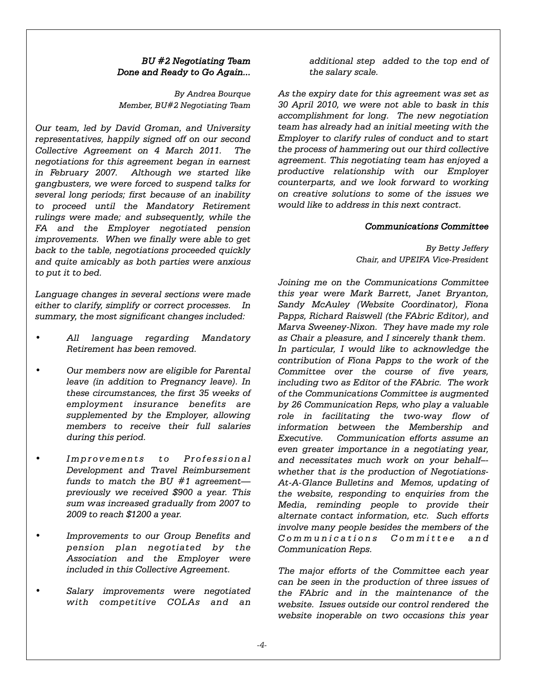### *BU #2 Negotiating Team Done and Ready to Go Again...*

*By Andrea Bourque Member, BU#2 Negotiating Team*

*Our team, led by David Groman, and University representatives, happily signed off on our second Collective Agreement on 4 March 2011. The negotiations for this agreement began in earnest in February 2007. Although we started like gangbusters, we were forced to suspend talks for several long periods; first because of an inability to proceed until the Mandatory Retirement rulings were made; and subsequently, while the FA and the Employer negotiated pension improvements. When we finally were able to get back to the table, negotiations proceeded quickly and quite amicably as both parties were anxious to put it to bed.* 

*Language changes in several sections were made either to clarify, simplify or correct processes. In summary, the most significant changes included:*

- *All language regarding Mandatory Retirement has been removed.*
- *Our members now are eligible for Parental leave (in addition to Pregnancy leave). In these circumstances, the first 35 weeks of employment insurance benefits are supplemented by the Employer, allowing members to receive their full salaries during this period.*
- *Improvements to Professional Development and Travel Reimbursement funds to match the BU #1 agreement previously we received \$900 a year. This sum was increased gradually from 2007 to 2009 to reach \$1200 a year.*
- *Improvements to our Group Benefits and pension plan negotiated by the Association and the Employer were included in this Collective Agreement.*
- *Salary improvements were negotiated with competitive COLAs and an*

*additional step added to the top end of the salary scale.*

*As the expiry date for this agreement was set as 30 April 2010, we were not able to bask in this accomplishment for long. The new negotiation team has already had an initial meeting with the Employer to clarify rules of conduct and to start the process of hammering out our third collective agreement. This negotiating team has enjoyed a productive relationship with our Employer counterparts, and we look forward to working on creative solutions to some of the issues we would like to address in this next contract.* 

#### *Communications Committee*

*By Betty Jeffery Chair, and UPEIFA Vice-President*

*Joining me on the Communications Committee this year were Mark Barrett, Janet Bryanton, Sandy McAuley (Website Coordinator), Fiona Papps, Richard Raiswell (the FAbric Editor), and Marva Sweeney-Nixon. They have made my role as Chair a pleasure, and I sincerely thank them. In particular, I would like to acknowledge the contribution of Fiona Papps to the work of the Committee over the course of five years, including two as Editor of the FAbric. The work of the Communications Committee is augmented by 26 Communication Reps, who play a valuable role in facilitating the two-way flow of information between the Membership and Executive. Communication efforts assume an even greater importance in a negotiating year, and necessitates much work on your behalf– whether that is the production of Negotiations-At-A-Glance Bulletins and Memos, updating of the website, responding to enquiries from the Media, reminding people to provide their alternate contact information, etc. Such efforts involve many people besides the members of the Communications Committee and Communication Reps.* 

*The major efforts of the Committee each year can be seen in the production of three issues of the FAbric and in the maintenance of the website. Issues outside our control rendered the website inoperable on two occasions this year*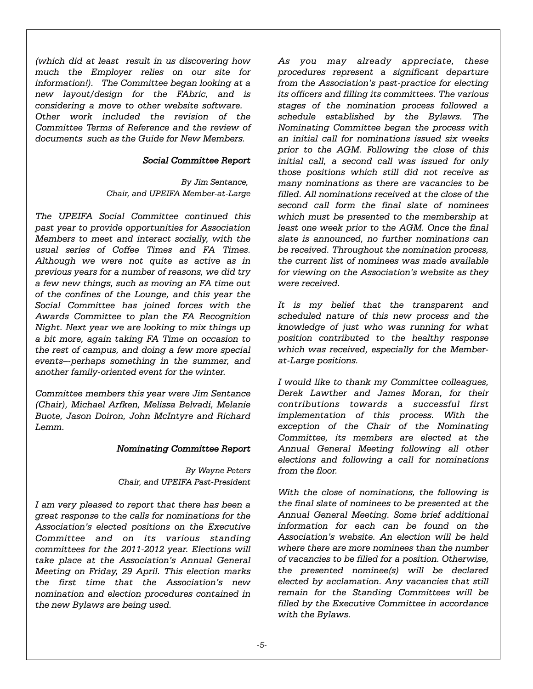*(which did at least result in us discovering how much the Employer relies on our site for information!). The Committee began looking at a new layout/design for the FAbric, and is considering a move to other website software. Other work included the revision of the Committee Terms of Reference and the review of documents such as the Guide for New Members.* 

#### *Social Committee Report*

*By Jim Sentance, Chair, and UPEIFA Member-at-Large*

*The UPEIFA Social Committee continued this past year to provide opportunities for Association Members to meet and interact socially, with the usual series of Coffee Times and FA Times. Although we were not quite as active as in previous years for a number of reasons, we did try a few new things, such as moving an FA time out of the confines of the Lounge, and this year the Social Committee has joined forces with the Awards Committee to plan the FA Recognition Night. Next year we are looking to mix things up a bit more, again taking FA Time on occasion to the rest of campus, and doing a few more special events–-perhaps something in the summer, and another family-oriented event for the winter.*

*Committee members this year were Jim Sentance (Chair), Michael Arfken, Melissa Belvadi, Melanie Buote, Jason Doiron, John McIntyre and Richard Lemm.*

#### *Nominating Committee Report*

*By Wayne Peters Chair, and UPEIFA Past-President*

*I am very pleased to report that there has been a great response to the calls for nominations for the Association's elected positions on the Executive Committee and on its various standing committees for the 2011-2012 year. Elections will take place at the Association's Annual General Meeting on Friday, 29 April. This election marks the first time that the Association's new nomination and election procedures contained in the new Bylaws are being used.*

*As you may already appreciate, these procedures represent a significant departure from the Association's past-practice for electing its officers and filling its committees. The various stages of the nomination process followed a schedule established by the Bylaws. The Nominating Committee began the process with an initial call for nominations issued six weeks prior to the AGM. Following the close of this initial call, a second call was issued for only those positions which still did not receive as many nominations as there are vacancies to be filled. All nominations received at the close of the second call form the final slate of nominees which must be presented to the membership at least one week prior to the AGM. Once the final slate is announced, no further nominations can be received. Throughout the nomination process, the current list of nominees was made available for viewing on the Association's website as they were received.*

*It is my belief that the transparent and scheduled nature of this new process and the knowledge of just who was running for what position contributed to the healthy response which was received, especially for the Memberat-Large positions.*

*I would like to thank my Committee colleagues, Derek Lawther and James Moran, for their contributions towards a successful first implementation of this process. With the exception of the Chair of the Nominating Committee, its members are elected at the Annual General Meeting following all other elections and following a call for nominations from the floor.* 

*With the close of nominations, the following is the final slate of nominees to be presented at the Annual General Meeting. Some brief additional information for each can be found on the Association's website. An election will be held where there are more nominees than the number of vacancies to be filled for a position. Otherwise, the presented nominee(s) will be declared elected by acclamation. Any vacancies that still remain for the Standing Committees will be filled by the Executive Committee in accordance with the Bylaws.*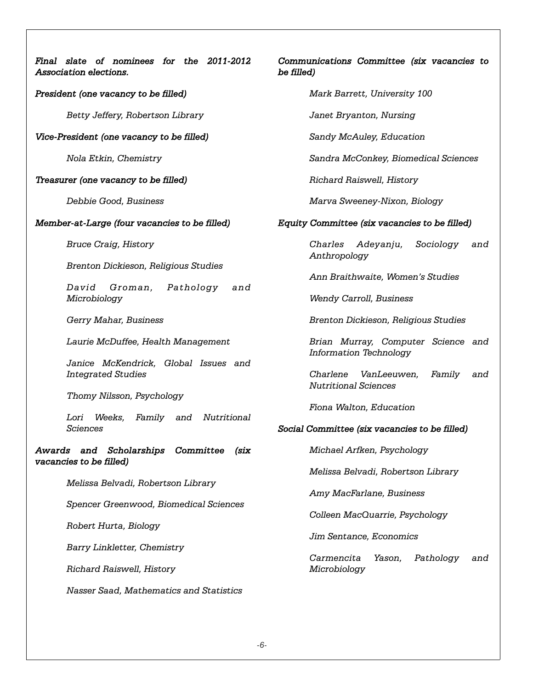| Final slate of nominees for the 2011-2012<br>C<br>Association elections.<br>b١ |
|--------------------------------------------------------------------------------|
| President (one vacancy to be filled)                                           |
| Betty Jeffery, Robertson Library                                               |
| Vice-President (one vacancy to be filled)                                      |
| Nola Etkin, Chemistry                                                          |
| Treasurer (one vacancy to be filled)                                           |
| Debbie Good, Business                                                          |
| Member-at-Large (four vacancies to be filled)<br>E                             |
| <b>Bruce Craig, History</b>                                                    |
| Brenton Dickieson, Religious Studies                                           |
| David Groman, Pathology and<br>Microbiology                                    |
| Gerry Mahar, Business                                                          |
| Laurie McDuffee, Health Management                                             |
| Janice McKendrick, Global Issues and<br><b>Integrated Studies</b>              |
| Thomy Nilsson, Psychology                                                      |
| Lori Weeks, Family and Nutritional<br><b>Sciences</b><br>S.                    |
| Awards and Scholarships Committee<br>(six<br>vacancies to be filled)           |
| Melissa Belvadi, Robertson Library                                             |
| Spencer Greenwood, Biomedical Sciences                                         |
| Robert Hurta, Biology                                                          |
| Barry Linkletter, Chemistry                                                    |
| Richard Raiswell, History                                                      |
| Nasser Saad, Mathematics and Statistics                                        |
|                                                                                |

### *Communications Committee (six vacancies to be filled)*

*Mark Barrett, University 100*

*Janet Bryanton, Nursing*

*Sandy McAuley, Education*

*Sandra McConkey, Biomedical Sciences*

*Richard Raiswell, History*

*Marva Sweeney-Nixon, Biology*

### *Equity Committee (six vacancies to be filled)*

*Charles Adeyanju, Sociology and Anthropology*

*Ann Braithwaite, Women's Studies*

*Wendy Carroll, Business*

*Brenton Dickieson, Religious Studies*

*Brian Murray, Computer Science and Information Technology*

*Charlene VanLeeuwen, Family and Nutritional Sciences*

*Fiona Walton, Education*

### *Social Committee (six vacancies to be filled)*

*Michael Arfken, Psychology*

 *Melissa Belvadi, Robertson Library*

*Amy MacFarlane, Business*

*Colleen MacQuarrie, Psychology*

*Jim Sentance, Economics*

*Carmencita Yason, Pathology and Microbiology*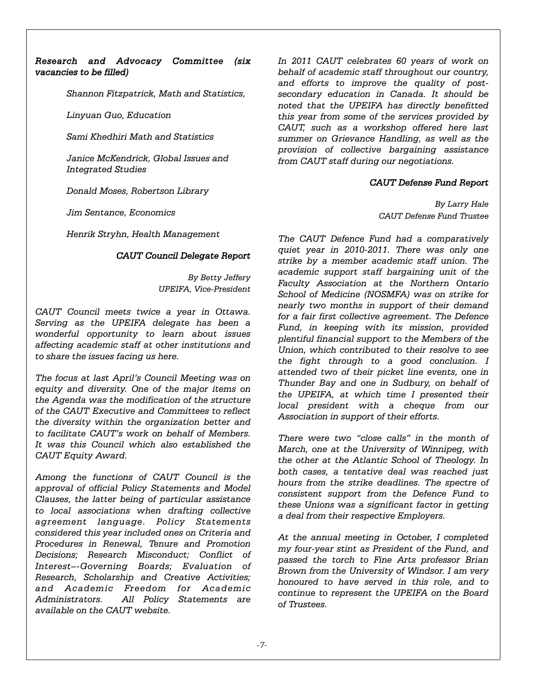#### *Research and Advocacy Committee (six vacancies to be filled)*

*Shannon Fitzpatrick, Math and Statistics,*

*Linyuan Guo, Education* 

*Sami Khedhiri Math and Statistics*

*Janice McKendrick, Global Issues and Integrated Studies*

 *Donald Moses, Robertson Library*

*Jim Sentance, Economics*

*Henrik Stryhn, Health Management*

#### *CAUT Council Delegate Report*

*By Betty Jeffery UPEIFA, Vice-President*

*CAUT Council meets twice a year in Ottawa. Serving as the UPEIFA delegate has been a wonderful opportunity to learn about issues affecting academic staff at other institutions and to share the issues facing us here.*

*The focus at last April's Council Meeting was on equity and diversity. One of the major items on the Agenda was the modification of the structure of the CAUT Executive and Committees to reflect the diversity within the organization better and to facilitate CAUT's work on behalf of Members. It was this Council which also established the CAUT Equity Award.*

*Among the functions of CAUT Council is the approval of official Policy Statements and Model Clauses, the latter being of particular assistance to local associations when drafting collective agreement language. Policy Statements considered this year included ones on Criteria and Procedures in Renewal, Tenure and Promotion Decisions; Research Misconduct; Conflict of Interest–-Governing Boards; Evaluation of Research, Scholarship and Creative Activities; and Academic Freedom for Academic Administrators. All Policy Statements are available on the CAUT website.*

*In 2011 CAUT celebrates 60 years of work on behalf of academic staff throughout our country, and efforts to improve the quality of postsecondary education in Canada. It should be noted that the UPEIFA has directly benefitted this year from some of the services provided by CAUT, such as a workshop offered here last summer on Grievance Handling, as well as the provision of collective bargaining assistance from CAUT staff during our negotiations.*

#### *CAUT Defense Fund Report*

*By Larry Hale CAUT Defense Fund Trustee*

*The CAUT Defence Fund had a comparatively quiet year in 2010-2011. There was only one strike by a member academic staff union. The academic support staff bargaining unit of the Faculty Association at the Northern Ontario School of Medicine (NOSMFA) was on strike for nearly two months in support of their demand for a fair first collective agreement. The Defence Fund, in keeping with its mission, provided plentiful financial support to the Members of the Union, which contributed to their resolve to see the fight through to a good conclusion. I attended two of their picket line events, one in Thunder Bay and one in Sudbury, on behalf of the UPEIFA, at which time I presented their local president with a cheque from our Association in support of their efforts.*

*There were two "close calls" in the month of March, one at the University of Winnipeg, with the other at the Atlantic School of Theology. In both cases, a tentative deal was reached just hours from the strike deadlines. The spectre of consistent support from the Defence Fund to these Unions was a significant factor in getting a deal from their respective Employers.*

*At the annual meeting in October, I completed my four-year stint as President of the Fund, and passed the torch to Fine Arts professor Brian Brown from the University of Windsor. I am very honoured to have served in this role, and to continue to represent the UPEIFA on the Board of Trustees.*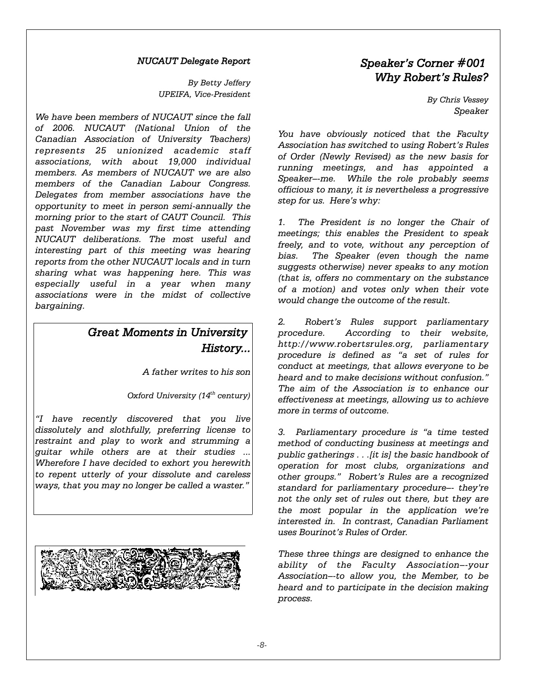#### *NUCAUT Delegate Report*

*By Betty Jeffery UPEIFA, Vice-President*

*We have been members of NUCAUT since the fall of 2006. NUCAUT (National Union of the Canadian Association of University Teachers) represents 25 unionized academic staff associations, with about 19,000 individual members. As members of NUCAUT we are also members of the Canadian Labour Congress. Delegates from member associations have the opportunity to meet in person semi-annually the morning prior to the start of CAUT Council. This past November was my first time attending NUCAUT deliberations. The most useful and interesting part of this meeting was hearing reports from the other NUCAUT locals and in turn sharing what was happening here. This was especially useful in a year when many associations were in the midst of collective bargaining.*

# *Great Moments in University History...*

*A father writes to his son*

*Oxford University (14th century)*

*"I have recently discovered that you live dissolutely and slothfully, preferring license to restraint and play to work and strumming a guitar while others are at their studies ... Wherefore I have decided to exhort you herewith to repent utterly of your dissolute and careless ways, that you may no longer be called a waster."*



# *Speaker's Corner #001 Why Robert's Rules?*

*By Chris Vessey Speaker*

*You have obviously noticed that the Faculty Association has switched to using Robert's Rules of Order (Newly Revised) as the new basis for running meetings, and has appointed a Speaker–-me. While the role probably seems officious to many, it is nevertheless a progressive step for us. Here's why:*

*1. The President is no longer the Chair of meetings; this enables the President to speak freely, and to vote, without any perception of bias. The Speaker (even though the name suggests otherwise) never speaks to any motion (that is, offers no commentary on the substance of a motion) and votes only when their vote would change the outcome of the result.*

*2. Robert's Rules support parliamentary procedure. According to their website, http://www.robertsrules.org, parliamentary procedure is defined as "a set of rules for conduct at meetings, that allows everyone to be heard and to make decisions without confusion." The aim of the Association is to enhance our effectiveness at meetings, allowing us to achieve more in terms of outcome.*

*3. Parliamentary procedure is "a time tested method of conducting business at meetings and public gatherings . . .[it is] the basic handbook of operation for most clubs, organizations and other groups." Robert's Rules are a recognized standard for parliamentary procedure–- they're not the only set of rules out there, but they are the most popular in the application we're interested in. In contrast, Canadian Parliament uses Bourinot's Rules of Order.*

*These three things are designed to enhance the ability of the Faculty Association–-your Association–-to allow you, the Member, to be heard and to participate in the decision making process.*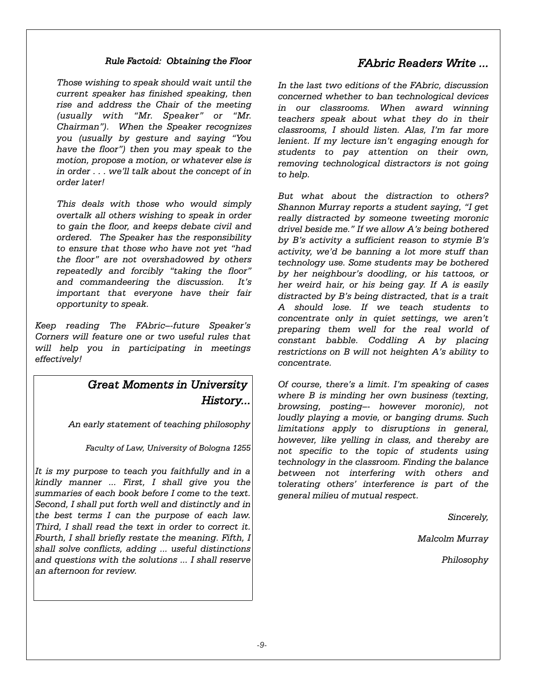#### *Rule Factoid: Obtaining the Floor*

*Those wishing to speak should wait until the current speaker has finished speaking, then rise and address the Chair of the meeting (usually with "Mr. Speaker" or "Mr. Chairman"). When the Speaker recognizes you (usually by gesture and saying "You have the floor") then you may speak to the motion, propose a motion, or whatever else is in order . . . we'll talk about the concept of in order later!* 

*This deals with those who would simply overtalk all others wishing to speak in order to gain the floor, and keeps debate civil and ordered. The Speaker has the responsibility to ensure that those who have not yet "had the floor" are not overshadowed by others repeatedly and forcibly "taking the floor" and commandeering the discussion. It's important that everyone have their fair opportunity to speak.*

*Keep reading The FAbric–-future Speaker's Corners will feature one or two useful rules that will help you in participating in meetings effectively!*

# *Great Moments in University History...*

*An early statement of teaching philosophy*

*Faculty of Law, University of Bologna 1255*

*It is my purpose to teach you faithfully and in a kindly manner ... First, I shall give you the summaries of each book before I come to the text. Second, I shall put forth well and distinctly and in the best terms I can the purpose of each law. Third, I shall read the text in order to correct it. Fourth, I shall briefly restate the meaning. Fifth, I shall solve conflicts, adding ... useful distinctions and questions with the solutions ... I shall reserve an afternoon for review.*

## *FAbric Readers Write ...*

*In the last two editions of the FAbric, discussion concerned whether to ban technological devices in our classrooms. When award winning teachers speak about what they do in their classrooms, I should listen. Alas, I'm far more lenient. If my lecture isn't engaging enough for students to pay attention on their own, removing technological distractors is not going to help.* 

*But what about the distraction to others? Shannon Murray reports a student saying, "I get really distracted by someone tweeting moronic drivel beside me." If we allow A's being bothered by B's activity a sufficient reason to stymie B's activity, we'd be banning a lot more stuff than technology use. Some students may be bothered by her neighbour's doodling, or his tattoos, or her weird hair, or his being gay. If A is easily distracted by B's being distracted, that is a trait A should lose. If we teach students to concentrate only in quiet settings, we aren't preparing them well for the real world of constant babble. Coddling A by placing restrictions on B will not heighten A's ability to concentrate.*

*Of course, there's a limit. I'm speaking of cases where B is minding her own business (texting, browsing, posting–- however moronic), not loudly playing a movie, or banging drums. Such limitations apply to disruptions in general, however, like yelling in class, and thereby are not specific to the topic of students using technology in the classroom. Finding the balance between not interfering with others and tolerating others' interference is part of the general milieu of mutual respect.*

*Sincerely,*

*Malcolm Murray*

*Philosophy*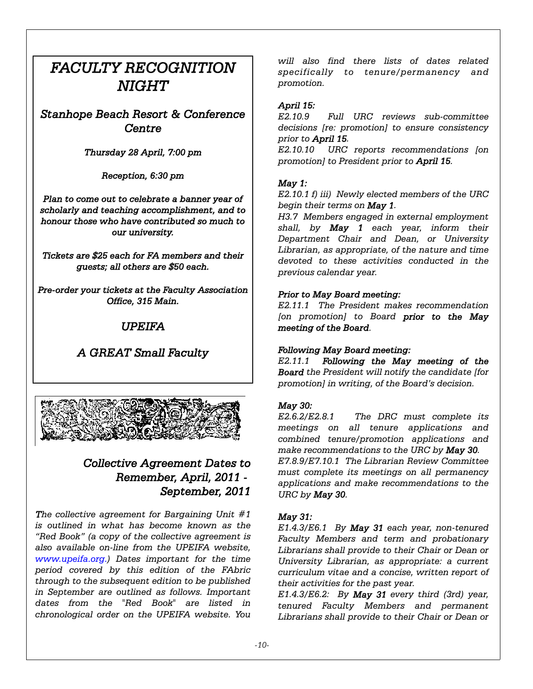# *FACULTY RECOGNITION NIGHT*

*Stanhope Beach Resort & Conference Centre*

### *Thursday 28 April, 7:00 pm*

*Reception, 6:30 pm*

*Plan to come out to celebrate a banner year of scholarly and teaching accomplishment, and to honour those who have contributed so much to our university.*

*Tickets are \$25 each for FA members and their guests; all others are \$50 each.*

*Pre-order your tickets at the Faculty Association Office, 315 Main.*

# *UPEIFA*

# *A GREAT Small Faculty*



# *Collective Agreement Dates to Remember, April, 2011 - September, 2011*

*The collective agreement for Bargaining Unit #1 is outlined in what has become known as the "Red Book" (a copy of the collective agreement is also available on-line from the UPEIFA website, www.upeifa.org.) Dates important for the time period covered by this edition of the FAbric through to the subsequent edition to be published in September are outlined as follows. Important dates from the "Red Book" are listed in chronological order on the UPEIFA website. You*

*will also find there lists of dates related specifically to tenure/permanency and promotion.* 

### *April 15:*

*E2.10.9 Full URC reviews sub-committee decisions [re: promotion] to ensure consistency prior to April 15.*

*E2.10.10 URC reports recommendations [on promotion] to President prior to April 15.*

### *May 1:*

*E2.10.1 f) iii) Newly elected members of the URC begin their terms on May 1.*

*H3.7 Members engaged in external employment shall, by May 1 each year, inform their Department Chair and Dean, or University Librarian, as appropriate, of the nature and time devoted to these activities conducted in the previous calendar year.*

### *Prior to May Board meeting:*

*E2.11.1 The President makes recommendation [on promotion] to Board prior to the May meeting of the Board.*

### *Following May Board meeting:*

*E2.11.1 Following the May meeting of the Board the President will notify the candidate [for promotion] in writing, of the Board's decision.*

### *May 30:*

*E2.6.2/E2.8.1 The DRC must complete its meetings on all tenure applications and combined tenure/promotion applications and make recommendations to the URC by May 30. E7.8.9/E7.10.1 The Librarian Review Committee must complete its meetings on all permanency applications and make recommendations to the URC by May 30.*

### *May 31:*

*E1.4.3/E6.1 By May 31 each year, non-tenured Faculty Members and term and probationary Librarians shall provide to their Chair or Dean or University Librarian, as appropriate: a current curriculum vitae and a concise, written report of their activities for the past year.*

*E1.4.3/E6.2: By May 31 every third (3rd) year, tenured Faculty Members and permanent Librarians shall provide to their Chair or Dean or*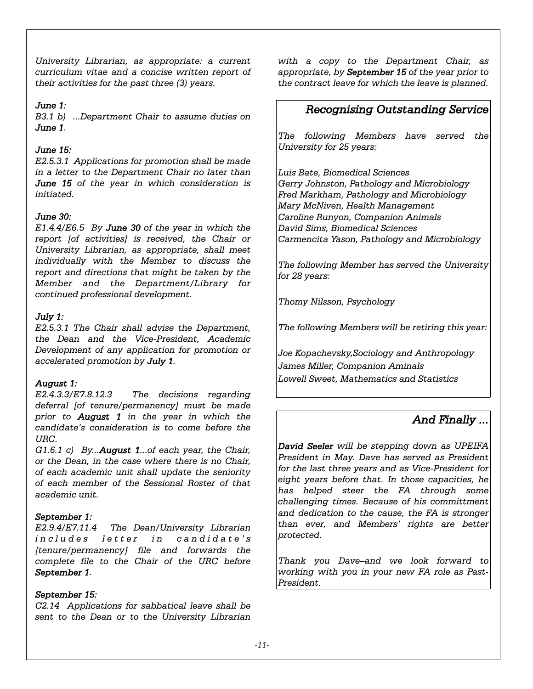*University Librarian, as appropriate: a current curriculum vitae and a concise written report of their activities for the past three (3) years.*

### *June 1:*

*B3.1 b) ...Department Chair to assume duties on June 1.*

### *June 15:*

*E2.5.3.1 Applications for promotion shall be made in a letter to the Department Chair no later than June 15 of the year in which consideration is initiated.*

### *June 30:*

*E1.4.4/E6.5 By June 30 of the year in which the report [of activities] is received, the Chair or University Librarian, as appropriate, shall meet individually with the Member to discuss the report and directions that might be taken by the Member and the Department/Library for continued professional development.*

### *July 1:*

*E2.5.3.1 The Chair shall advise the Department, the Dean and the Vice-President, Academic Development of any application for promotion or accelerated promotion by July 1.*

#### *August 1:*

*E2.4.3.3/E7.8.12.3 The decisions regarding deferral [of tenure/permanency] must be made prior to August 1 in the year in which the candidate's consideration is to come before the URC.*

*G1.6.1 c) By...August 1...of each year, the Chair, or the Dean, in the case where there is no Chair, of each academic unit shall update the seniority of each member of the Sessional Roster of that academic unit.*

#### *September 1:*

*E2.9.4/E7.11.4 The Dean/University Librarian includes letter in candidate's [tenure/permanency] file and forwards the complete file to the Chair of the URC before September 1.*

#### *September 15:*

*C2.14 Applications for sabbatical leave shall be sent to the Dean or to the University Librarian*

*with a copy to the Department Chair, as appropriate, by September 15 of the year prior to the contract leave for which the leave is planned.*

# *Recognising Outstanding Service*

*The following Members have served the University for 25 years:*

*Luis Bate, Biomedical Sciences Gerry Johnston, Pathology and Microbiology Fred Markham, Pathology and Microbiology Mary McNiven, Health Management Caroline Runyon, Companion Animals David Sims, Biomedical Sciences Carmencita Yason, Pathology and Microbiology*

*The following Member has served the University for 28 years:*

*Thomy Nilsson, Psychology*

*The following Members will be retiring this year:*

*Joe Kopachevsky,Sociology and Anthropology James Miller, Companion Aminals Lowell Sweet, Mathematics and Statistics*

# *And Finally ...*

*David Seeler will be stepping down as UPEIFA President in May. Dave has served as President for the last three years and as Vice-President for eight years before that. In those capacities, he has helped steer the FA through some challenging times. Because of his committment and dedication to the cause, the FA is stronger than ever, and Members' rights are better protected.*

*Thank you Dave–and we look forward to working with you in your new FA role as Past-President.*